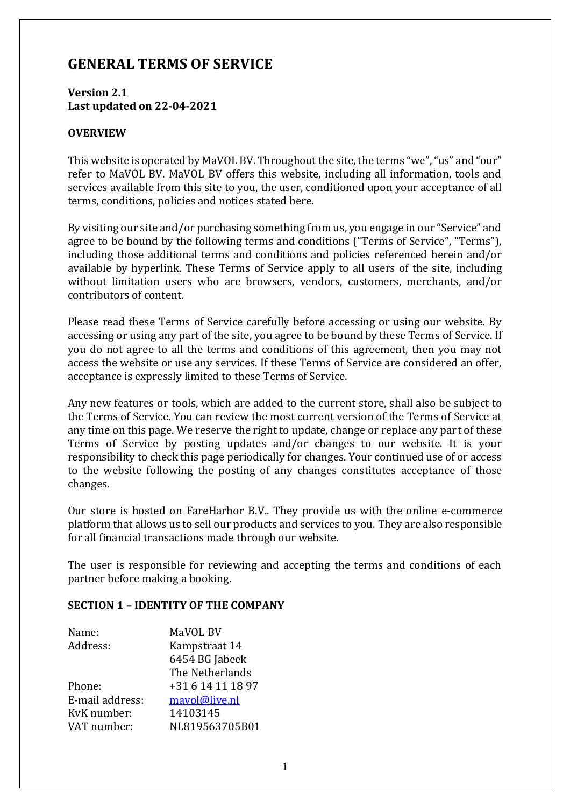# **GENERAL TERMS OF SERVICE**

# **Version 2.1 Last updated on 22-04-2021**

# **OVERVIEW**

This website is operated by MaVOL BV. Throughout the site, the terms "we", "us" and "our" refer to MaVOL BV. MaVOL BV offers this website, including all information, tools and services available from this site to you, the user, conditioned upon your acceptance of all terms, conditions, policies and notices stated here.

By visiting our site and/or purchasing something from us, you engage in our "Service" and agree to be bound by the following terms and conditions ("Terms of Service", "Terms"), including those additional terms and conditions and policies referenced herein and/or available by hyperlink. These Terms of Service apply to all users of the site, including without limitation users who are browsers, vendors, customers, merchants, and/or contributors of content.

Please read these Terms of Service carefully before accessing or using our website. By accessing or using any part of the site, you agree to be bound by these Terms of Service. If you do not agree to all the terms and conditions of this agreement, then you may not access the website or use any services. If these Terms of Service are considered an offer, acceptance is expressly limited to these Terms of Service.

Any new features or tools, which are added to the current store, shall also be subject to the Terms of Service. You can review the most current version of the Terms of Service at any time on this page. We reserve the right to update, change or replace any part of these Terms of Service by posting updates and/or changes to our website. It is your responsibility to check this page periodically for changes. Your continued use of or access to the website following the posting of any changes constitutes acceptance of those changes.

Our store is hosted on FareHarbor B.V.. They provide us with the online e-commerce platform that allows us to sell our products and services to you. They are also responsible for all financial transactions made through our website.

The user is responsible for reviewing and accepting the terms and conditions of each partner before making a booking.

# **SECTION 1 – IDENTITY OF THE COMPANY**

| Name:           | MaVOL BV          |
|-----------------|-------------------|
| Address:        | Kampstraat 14     |
|                 | 6454 BG Jabeek    |
|                 | The Netherlands   |
| Phone:          | +31 6 14 11 18 97 |
| E-mail address: | mavol@live.nl     |
| KyK number:     | 14103145          |
| VAT number:     | NL819563705B01    |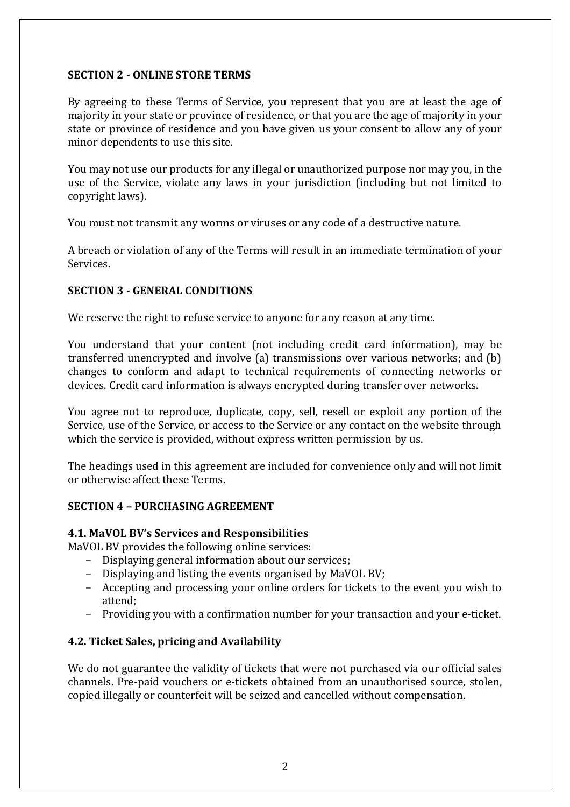# **SECTION 2 - ONLINE STORE TERMS**

By agreeing to these Terms of Service, you represent that you are at least the age of majority in your state or province of residence, or that you are the age of majority in your state or province of residence and you have given us your consent to allow any of your minor dependents to use this site.

You may not use our products for any illegal or unauthorized purpose nor may you, in the use of the Service, violate any laws in your jurisdiction (including but not limited to copyright laws).

You must not transmit any worms or viruses or any code of a destructive nature.

A breach or violation of any of the Terms will result in an immediate termination of your Services.

#### **SECTION 3 - GENERAL CONDITIONS**

We reserve the right to refuse service to anyone for any reason at any time.

You understand that your content (not including credit card information), may be transferred unencrypted and involve (a) transmissions over various networks; and (b) changes to conform and adapt to technical requirements of connecting networks or devices. Credit card information is always encrypted during transfer over networks.

You agree not to reproduce, duplicate, copy, sell, resell or exploit any portion of the Service, use of the Service, or access to the Service or any contact on the website through which the service is provided, without express written permission by us.

The headings used in this agreement are included for convenience only and will not limit or otherwise affect these Terms.

# **SECTION 4 – PURCHASING AGREEMENT**

#### **4.1. MaVOL BV's Services and Responsibilities**

MaVOL BV provides the following online services:

- Displaying general information about our services;
- Displaying and listing the events organised by MaVOL BV;
- Accepting and processing your online orders for tickets to the event you wish to attend;
- Providing you with a confirmation number for your transaction and your e-ticket.

# **4.2. Ticket Sales, pricing and Availability**

We do not guarantee the validity of tickets that were not purchased via our official sales channels. Pre-paid vouchers or e-tickets obtained from an unauthorised source, stolen, copied illegally or counterfeit will be seized and cancelled without compensation.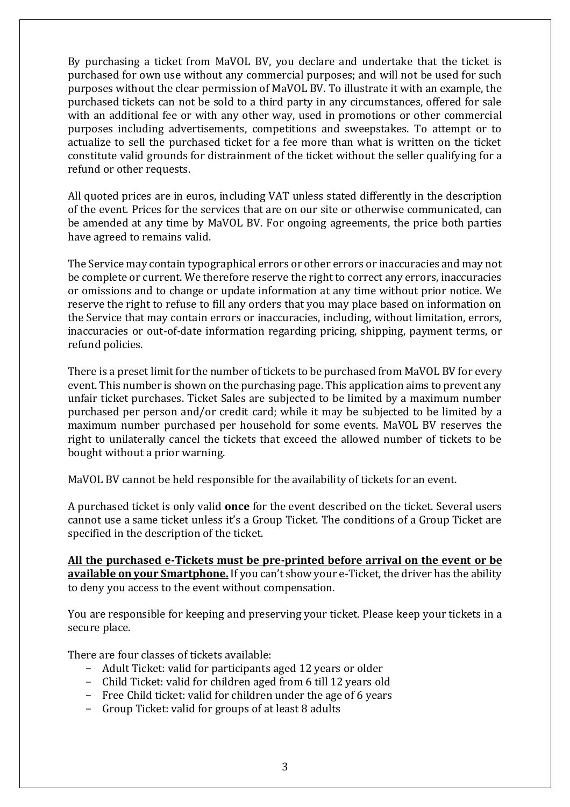By purchasing a ticket from MaVOL BV, you declare and undertake that the ticket is purchased for own use without any commercial purposes; and will not be used for such purposes without the clear permission of MaVOL BV. To illustrate it with an example, the purchased tickets can not be sold to a third party in any circumstances, offered for sale with an additional fee or with any other way, used in promotions or other commercial purposes including advertisements, competitions and sweepstakes. To attempt or to actualize to sell the purchased ticket for a fee more than what is written on the ticket constitute valid grounds for distrainment of the ticket without the seller qualifying for a refund or other requests.

All quoted prices are in euros, including VAT unless stated differently in the description of the event. Prices for the services that are on our site or otherwise communicated, can be amended at any time by MaVOL BV. For ongoing agreements, the price both parties have agreed to remains valid.

The Service may contain typographical errors or other errors or inaccuracies and may not be complete or current. We therefore reserve the right to correct any errors, inaccuracies or omissions and to change or update information at any time without prior notice. We reserve the right to refuse to fill any orders that you may place based on information on the Service that may contain errors or inaccuracies, including, without limitation, errors, inaccuracies or out-of-date information regarding pricing, shipping, payment terms, or refund policies.

There is a preset limit for the number of tickets to be purchased from MaVOL BV for every event. This number is shown on the purchasing page. This application aims to prevent any unfair ticket purchases. Ticket Sales are subjected to be limited by a maximum number purchased per person and/or credit card; while it may be subjected to be limited by a maximum number purchased per household for some events. MaVOL BV reserves the right to unilaterally cancel the tickets that exceed the allowed number of tickets to be bought without a prior warning.

MaVOL BV cannot be held responsible for the availability of tickets for an event.

A purchased ticket is only valid **once** for the event described on the ticket. Several users cannot use a same ticket unless it's a Group Ticket. The conditions of a Group Ticket are specified in the description of the ticket.

**All the purchased e-Tickets must be pre-printed before arrival on the event or be available on your Smartphone.** If you can't show your e-Ticket, the driver has the ability to deny you access to the event without compensation.

You are responsible for keeping and preserving your ticket. Please keep your tickets in a secure place.

There are four classes of tickets available:

- Adult Ticket: valid for participants aged 12 years or older
- Child Ticket: valid for children aged from 6 till 12 years old
- Free Child ticket: valid for children under the age of 6 years
- Group Ticket: valid for groups of at least 8 adults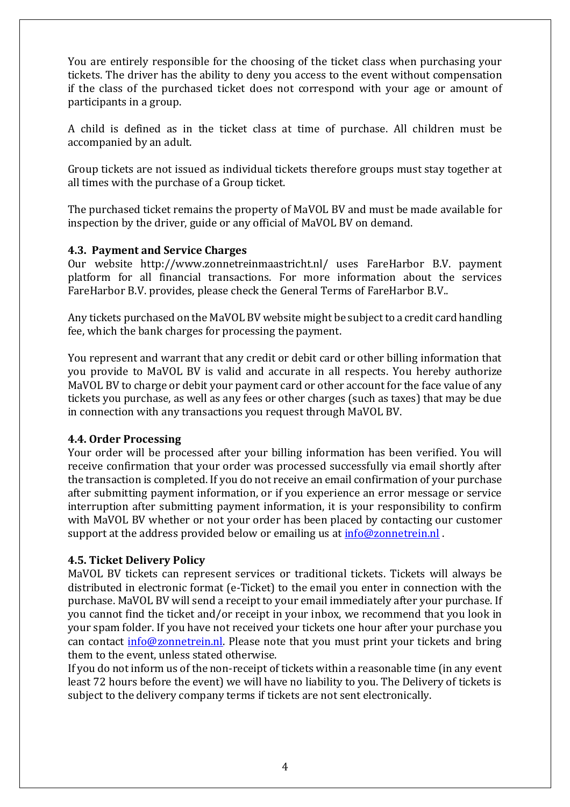You are entirely responsible for the choosing of the ticket class when purchasing your tickets. The driver has the ability to deny you access to the event without compensation if the class of the purchased ticket does not correspond with your age or amount of participants in a group.

A child is defined as in the ticket class at time of purchase. All children must be accompanied by an adult.

Group tickets are not issued as individual tickets therefore groups must stay together at all times with the purchase of a Group ticket.

The purchased ticket remains the property of MaVOL BV and must be made available for inspection by the driver, guide or any official of MaVOL BV on demand.

# **4.3. Payment and Service Charges**

Our website http://www.zonnetreinmaastricht.nl/ uses FareHarbor B.V. payment platform for all financial transactions. For more information about the services FareHarbor B.V. provides, please check the General Terms of FareHarbor B.V..

Any tickets purchased on the MaVOL BV website might be subject to a credit card handling fee, which the bank charges for processing the payment.

You represent and warrant that any credit or debit card or other billing information that you provide to MaVOL BV is valid and accurate in all respects. You hereby authorize MaVOL BV to charge or debit your payment card or other account for the face value of any tickets you purchase, as well as any fees or other charges (such as taxes) that may be due in connection with any transactions you request through MaVOL BV.

# **4.4. Order Processing**

Your order will be processed after your billing information has been verified. You will receive confirmation that your order was processed successfully via email shortly after the transaction is completed. If you do not receive an email confirmation of your purchase after submitting payment information, or if you experience an error message or service interruption after submitting payment information, it is your responsibility to confirm with MaVOL BV whether or not your order has been placed by contacting our customer support at the address provided below or emailing us at [info@zonnetrein.nl](mailto:info@zonnetrein.nl).

# **4.5. Ticket Delivery Policy**

MaVOL BV tickets can represent services or traditional tickets. Tickets will always be distributed in electronic format (e-Ticket) to the email you enter in connection with the purchase. MaVOL BV will send a receipt to your email immediately after your purchase. If you cannot find the ticket and/or receipt in your inbox, we recommend that you look in your spam folder. If you have not received your tickets one hour after your purchase you can contact [info@zonnetrein.nl.](mailto:info@zonnetrein.nl) Please note that you must print your tickets and bring them to the event, unless stated otherwise.

If you do not inform us of the non-receipt of tickets within a reasonable time (in any event least 72 hours before the event) we will have no liability to you. The Delivery of tickets is subject to the delivery company terms if tickets are not sent electronically.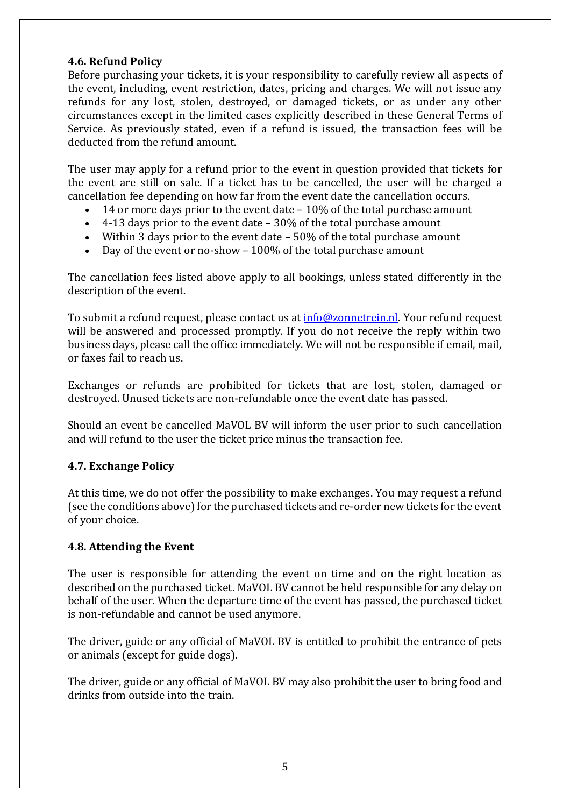# **4.6. Refund Policy**

Before purchasing your tickets, it is your responsibility to carefully review all aspects of the event, including, event restriction, dates, pricing and charges. We will not issue any refunds for any lost, stolen, destroyed, or damaged tickets, or as under any other circumstances except in the limited cases explicitly described in these General Terms of Service. As previously stated, even if a refund is issued, the transaction fees will be deducted from the refund amount.

The user may apply for a refund prior to the event in question provided that tickets for the event are still on sale. If a ticket has to be cancelled, the user will be charged a cancellation fee depending on how far from the event date the cancellation occurs.

- $\bullet$  14 or more days prior to the event date  $-10\%$  of the total purchase amount
- $\cdot$  4-13 days prior to the event date 30% of the total purchase amount
- Within 3 days prior to the event date 50% of the total purchase amount
- Day of the event or no-show 100% of the total purchase amount

The cancellation fees listed above apply to all bookings, unless stated differently in the description of the event.

To submit a refund request, please contact us at  $info@zonnetrein.nl$ . Your refund request will be answered and processed promptly. If you do not receive the reply within two business days, please call the office immediately. We will not be responsible if email, mail, or faxes fail to reach us.

Exchanges or refunds are prohibited for tickets that are lost, stolen, damaged or destroyed. Unused tickets are non-refundable once the event date has passed.

Should an event be cancelled MaVOL BV will inform the user prior to such cancellation and will refund to the user the ticket price minus the transaction fee.

# **4.7. Exchange Policy**

At this time, we do not offer the possibility to make exchanges. You may request a refund (see the conditions above) for the purchased tickets and re-order new tickets for the event of your choice.

# **4.8. Attending the Event**

The user is responsible for attending the event on time and on the right location as described on the purchased ticket. MaVOL BV cannot be held responsible for any delay on behalf of the user. When the departure time of the event has passed, the purchased ticket is non-refundable and cannot be used anymore.

The driver, guide or any official of MaVOL BV is entitled to prohibit the entrance of pets or animals (except for guide dogs).

The driver, guide or any official of MaVOL BV may also prohibit the user to bring food and drinks from outside into the train.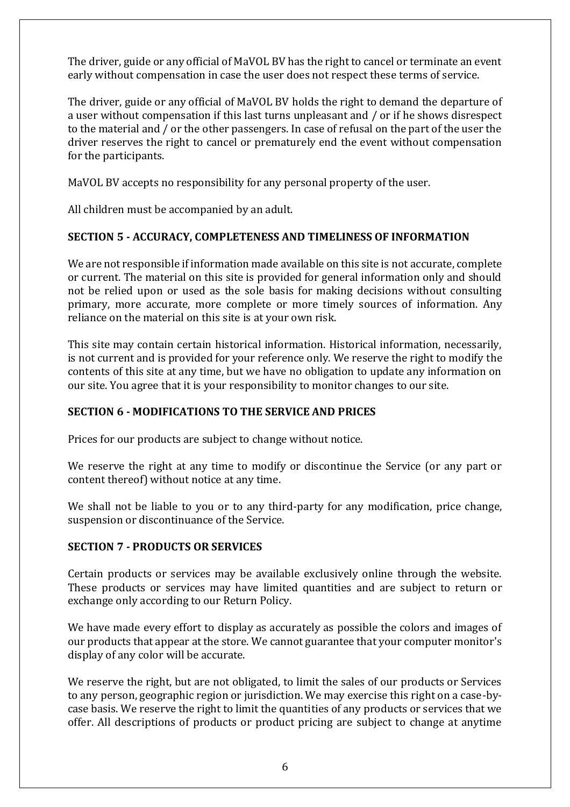The driver, guide or any official of MaVOL BV has the right to cancel or terminate an event early without compensation in case the user does not respect these terms of service.

The driver, guide or any official of MaVOL BV holds the right to demand the departure of a user without compensation if this last turns unpleasant and / or if he shows disrespect to the material and / or the other passengers. In case of refusal on the part of the user the driver reserves the right to cancel or prematurely end the event without compensation for the participants.

MaVOL BV accepts no responsibility for any personal property of the user.

All children must be accompanied by an adult.

# **SECTION 5 - ACCURACY, COMPLETENESS AND TIMELINESS OF INFORMATION**

We are not responsible if information made available on this site is not accurate, complete or current. The material on this site is provided for general information only and should not be relied upon or used as the sole basis for making decisions without consulting primary, more accurate, more complete or more timely sources of information. Any reliance on the material on this site is at your own risk.

This site may contain certain historical information. Historical information, necessarily, is not current and is provided for your reference only. We reserve the right to modify the contents of this site at any time, but we have no obligation to update any information on our site. You agree that it is your responsibility to monitor changes to our site.

# **SECTION 6 - MODIFICATIONS TO THE SERVICE AND PRICES**

Prices for our products are subject to change without notice.

We reserve the right at any time to modify or discontinue the Service (or any part or content thereof) without notice at any time.

We shall not be liable to you or to any third-party for any modification, price change, suspension or discontinuance of the Service.

# **SECTION 7 - PRODUCTS OR SERVICES**

Certain products or services may be available exclusively online through the website. These products or services may have limited quantities and are subject to return or exchange only according to our Return Policy.

We have made every effort to display as accurately as possible the colors and images of our products that appear at the store. We cannot guarantee that your computer monitor's display of any color will be accurate.

We reserve the right, but are not obligated, to limit the sales of our products or Services to any person, geographic region or jurisdiction. We may exercise this right on a case-bycase basis. We reserve the right to limit the quantities of any products or services that we offer. All descriptions of products or product pricing are subject to change at anytime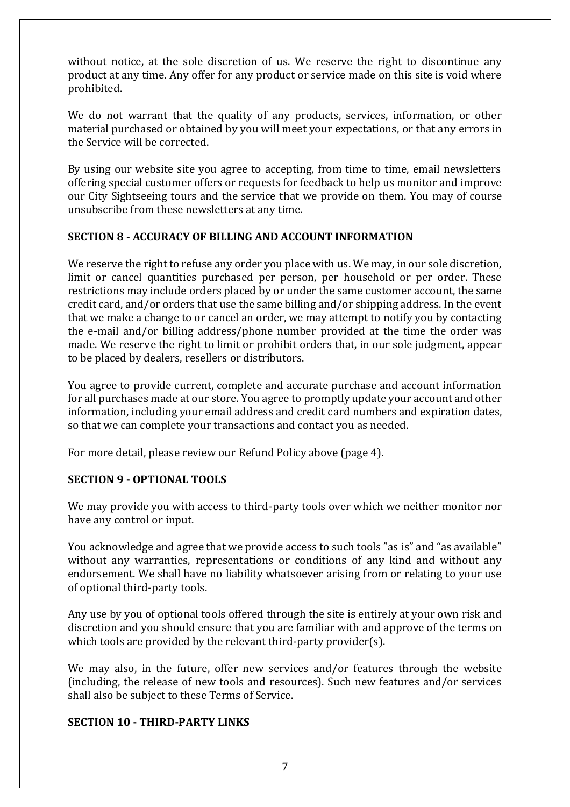without notice, at the sole discretion of us. We reserve the right to discontinue any product at any time. Any offer for any product or service made on this site is void where prohibited.

We do not warrant that the quality of any products, services, information, or other material purchased or obtained by you will meet your expectations, or that any errors in the Service will be corrected.

By using our website site you agree to accepting, from time to time, email newsletters offering special customer offers or requests for feedback to help us monitor and improve our City Sightseeing tours and the service that we provide on them. You may of course unsubscribe from these newsletters at any time.

#### **SECTION 8 - ACCURACY OF BILLING AND ACCOUNT INFORMATION**

We reserve the right to refuse any order you place with us. We may, in our sole discretion, limit or cancel quantities purchased per person, per household or per order. These restrictions may include orders placed by or under the same customer account, the same credit card, and/or orders that use the same billing and/or shipping address. In the event that we make a change to or cancel an order, we may attempt to notify you by contacting the e-mail and/or billing address/phone number provided at the time the order was made. We reserve the right to limit or prohibit orders that, in our sole judgment, appear to be placed by dealers, resellers or distributors.

You agree to provide current, complete and accurate purchase and account information for all purchases made at our store. You agree to promptly update your account and other information, including your email address and credit card numbers and expiration dates, so that we can complete your transactions and contact you as needed.

For more detail, please review our Refund Policy above (page 4).

# **SECTION 9 - OPTIONAL TOOLS**

We may provide you with access to third-party tools over which we neither monitor nor have any control or input.

You acknowledge and agree that we provide access to such tools "as is" and "as available" without any warranties, representations or conditions of any kind and without any endorsement. We shall have no liability whatsoever arising from or relating to your use of optional third-party tools.

Any use by you of optional tools offered through the site is entirely at your own risk and discretion and you should ensure that you are familiar with and approve of the terms on which tools are provided by the relevant third-party provider(s).

We may also, in the future, offer new services and/or features through the website (including, the release of new tools and resources). Such new features and/or services shall also be subject to these Terms of Service.

# **SECTION 10 - THIRD-PARTY LINKS**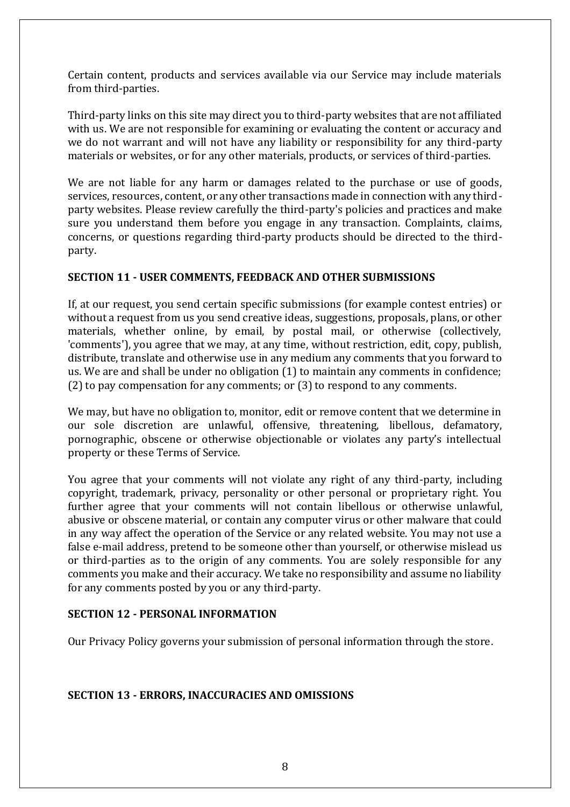Certain content, products and services available via our Service may include materials from third-parties.

Third-party links on this site may direct you to third-party websites that are not affiliated with us. We are not responsible for examining or evaluating the content or accuracy and we do not warrant and will not have any liability or responsibility for any third-party materials or websites, or for any other materials, products, or services of third-parties.

We are not liable for any harm or damages related to the purchase or use of goods, services, resources, content, or any other transactions made in connection with any thirdparty websites. Please review carefully the third-party's policies and practices and make sure you understand them before you engage in any transaction. Complaints, claims, concerns, or questions regarding third-party products should be directed to the thirdparty.

# **SECTION 11 - USER COMMENTS, FEEDBACK AND OTHER SUBMISSIONS**

If, at our request, you send certain specific submissions (for example contest entries) or without a request from us you send creative ideas, suggestions, proposals, plans, or other materials, whether online, by email, by postal mail, or otherwise (collectively, 'comments'), you agree that we may, at any time, without restriction, edit, copy, publish, distribute, translate and otherwise use in any medium any comments that you forward to us. We are and shall be under no obligation (1) to maintain any comments in confidence; (2) to pay compensation for any comments; or (3) to respond to any comments.

We may, but have no obligation to, monitor, edit or remove content that we determine in our sole discretion are unlawful, offensive, threatening, libellous, defamatory, pornographic, obscene or otherwise objectionable or violates any party's intellectual property or these Terms of Service.

You agree that your comments will not violate any right of any third-party, including copyright, trademark, privacy, personality or other personal or proprietary right. You further agree that your comments will not contain libellous or otherwise unlawful, abusive or obscene material, or contain any computer virus or other malware that could in any way affect the operation of the Service or any related website. You may not use a false e-mail address, pretend to be someone other than yourself, or otherwise mislead us or third-parties as to the origin of any comments. You are solely responsible for any comments you make and their accuracy. We take no responsibility and assume no liability for any comments posted by you or any third-party.

# **SECTION 12 - PERSONAL INFORMATION**

Our Privacy Policy governs your submission of personal information through the store.

# **SECTION 13 - ERRORS, INACCURACIES AND OMISSIONS**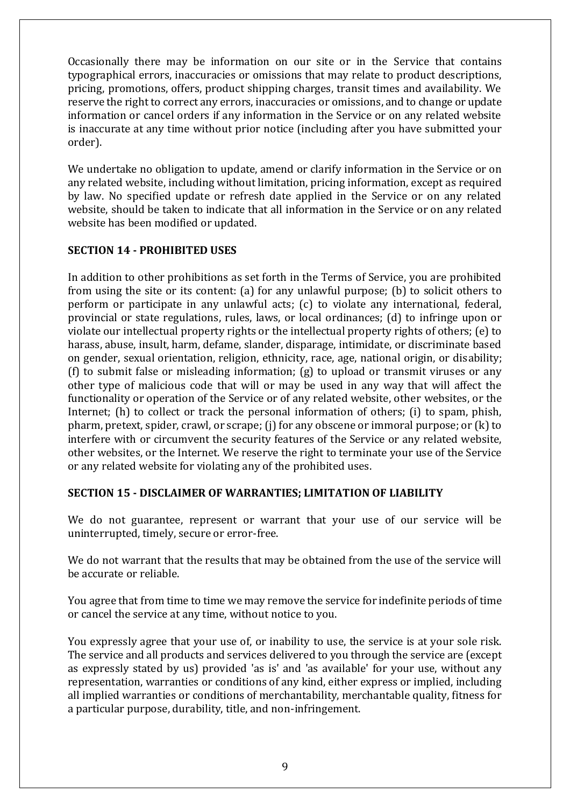Occasionally there may be information on our site or in the Service that contains typographical errors, inaccuracies or omissions that may relate to product descriptions, pricing, promotions, offers, product shipping charges, transit times and availability. We reserve the right to correct any errors, inaccuracies or omissions, and to change or update information or cancel orders if any information in the Service or on any related website is inaccurate at any time without prior notice (including after you have submitted your order).

We undertake no obligation to update, amend or clarify information in the Service or on any related website, including without limitation, pricing information, except as required by law. No specified update or refresh date applied in the Service or on any related website, should be taken to indicate that all information in the Service or on any related website has been modified or updated.

# **SECTION 14 - PROHIBITED USES**

In addition to other prohibitions as set forth in the Terms of Service, you are prohibited from using the site or its content: (a) for any unlawful purpose; (b) to solicit others to perform or participate in any unlawful acts; (c) to violate any international, federal, provincial or state regulations, rules, laws, or local ordinances; (d) to infringe upon or violate our intellectual property rights or the intellectual property rights of others; (e) to harass, abuse, insult, harm, defame, slander, disparage, intimidate, or discriminate based on gender, sexual orientation, religion, ethnicity, race, age, national origin, or disability; (f) to submit false or misleading information; (g) to upload or transmit viruses or any other type of malicious code that will or may be used in any way that will affect the functionality or operation of the Service or of any related website, other websites, or the Internet; (h) to collect or track the personal information of others; (i) to spam, phish, pharm, pretext, spider, crawl, or scrape; (j) for any obscene or immoral purpose; or (k) to interfere with or circumvent the security features of the Service or any related website, other websites, or the Internet. We reserve the right to terminate your use of the Service or any related website for violating any of the prohibited uses.

# **SECTION 15 - DISCLAIMER OF WARRANTIES; LIMITATION OF LIABILITY**

We do not guarantee, represent or warrant that your use of our service will be uninterrupted, timely, secure or error-free.

We do not warrant that the results that may be obtained from the use of the service will be accurate or reliable.

You agree that from time to time we may remove the service for indefinite periods of time or cancel the service at any time, without notice to you.

You expressly agree that your use of, or inability to use, the service is at your sole risk. The service and all products and services delivered to you through the service are (except as expressly stated by us) provided 'as is' and 'as available' for your use, without any representation, warranties or conditions of any kind, either express or implied, including all implied warranties or conditions of merchantability, merchantable quality, fitness for a particular purpose, durability, title, and non-infringement.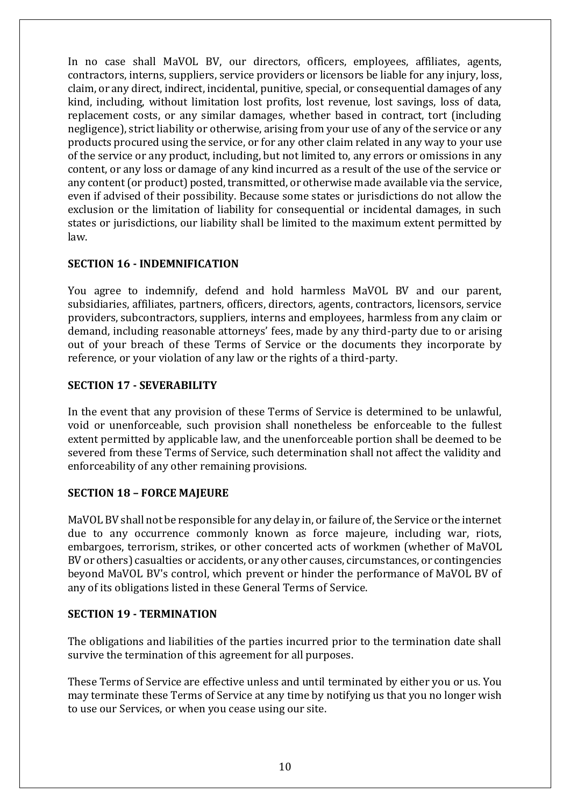In no case shall MaVOL BV, our directors, officers, employees, affiliates, agents, contractors, interns, suppliers, service providers or licensors be liable for any injury, loss, claim, or any direct, indirect, incidental, punitive, special, or consequential damages of any kind, including, without limitation lost profits, lost revenue, lost savings, loss of data, replacement costs, or any similar damages, whether based in contract, tort (including negligence), strict liability or otherwise, arising from your use of any of the service or any products procured using the service, or for any other claim related in any way to your use of the service or any product, including, but not limited to, any errors or omissions in any content, or any loss or damage of any kind incurred as a result of the use of the service or any content (or product) posted, transmitted, or otherwise made available via the service, even if advised of their possibility. Because some states or jurisdictions do not allow the exclusion or the limitation of liability for consequential or incidental damages, in such states or jurisdictions, our liability shall be limited to the maximum extent permitted by law.

# **SECTION 16 - INDEMNIFICATION**

You agree to indemnify, defend and hold harmless MaVOL BV and our parent, subsidiaries, affiliates, partners, officers, directors, agents, contractors, licensors, service providers, subcontractors, suppliers, interns and employees, harmless from any claim or demand, including reasonable attorneys' fees, made by any third-party due to or arising out of your breach of these Terms of Service or the documents they incorporate by reference, or your violation of any law or the rights of a third-party.

# **SECTION 17 - SEVERABILITY**

In the event that any provision of these Terms of Service is determined to be unlawful, void or unenforceable, such provision shall nonetheless be enforceable to the fullest extent permitted by applicable law, and the unenforceable portion shall be deemed to be severed from these Terms of Service, such determination shall not affect the validity and enforceability of any other remaining provisions.

# **SECTION 18 – FORCE MAJEURE**

MaVOL BV shall not be responsible for any delay in, or failure of, the Service or the internet due to any occurrence commonly known as force majeure, including war, riots, embargoes, terrorism, strikes, or other concerted acts of workmen (whether of MaVOL BV or others) casualties or accidents, or any other causes, circumstances, or contingencies beyond MaVOL BV's control, which prevent or hinder the performance of MaVOL BV of any of its obligations listed in these General Terms of Service.

# **SECTION 19 - TERMINATION**

The obligations and liabilities of the parties incurred prior to the termination date shall survive the termination of this agreement for all purposes.

These Terms of Service are effective unless and until terminated by either you or us. You may terminate these Terms of Service at any time by notifying us that you no longer wish to use our Services, or when you cease using our site.